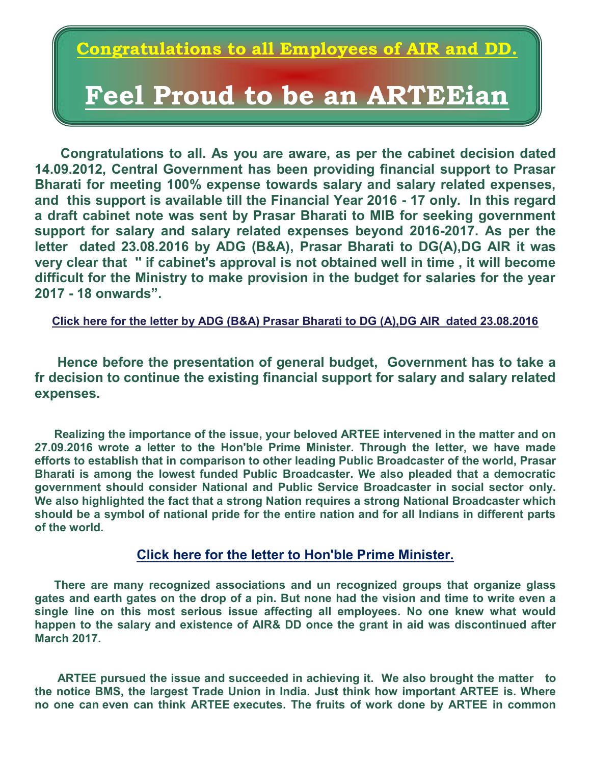## **Congratulations to all Employees of AIR and DD.**

## **Feel Proud to be an ARTEEian**

 **Congratulations to all. As you are aware, as per the cabinet decision dated 14.09.2012, Central Government has been providing financial support to Prasar Bharati for meeting 100% expense towards salary and salary related expenses, and this support is available till the Financial Year 2016 - 17 only. In this regard a draft cabinet note was sent by Prasar Bharati to MIB for seeking government support for salary and salary related expenses beyond 2016-2017. As per the letter dated 23.08.2016 by ADG (B&A), Prasar Bharati to DG(A),DG AIR it was very clear that '' if cabinet's approval is not obtained well in time , it will become difficult for the Ministry to make provision in the budget for salaries for the year 2017 - 18 onwards".** 

**[Click here for the letter by ADG \(B&A\) Prasar Bharati to DG \(A\),DG AIR dated 23.08.2016](http://www.arteeindia.org/central/2017/Letter_by%20ADG_PB_to_DG%20AIR%20_dated_23082016.pdf)** 

 **Hence before the presentation of general budget, Government has to take a fr decision to continue the existing financial support for salary and salary related expenses.** 

 **Realizing the importance of the issue, your beloved ARTEE intervened in the matter and on 27.09.2016 wrote a letter to the Hon'ble Prime Minister. Through the letter, we have made efforts to establish that in comparison to other leading Public Broadcaster of the world, Prasar Bharati is among the lowest funded Public Broadcaster. We also pleaded that a democratic government should consider National and Public Service Broadcaster in social sector only. We also highlighted the fact that a strong Nation requires a strong National Broadcaster which should be a symbol of national pride for the entire nation and for all Indians in different parts of the world.** 

#### **[Click here for the letter to Hon'ble Prime Minister.](http://arteeindia.org/central/2016/Letter_to_Honble_PM_dated_270916.pdf)**

 **There are many recognized associations and un recognized groups that organize glass gates and earth gates on the drop of a pin. But none had the vision and time to write even a single line on this most serious issue affecting all employees. No one knew what would happen to the salary and existence of AIR& DD once the grant in aid was discontinued after March 2017.** 

 **ARTEE pursued the issue and succeeded in achieving it. We also brought the matter to the notice BMS, the largest Trade Union in India. Just think how important ARTEE is. Where no one can even can think ARTEE executes. The fruits of work done by ARTEE in common**